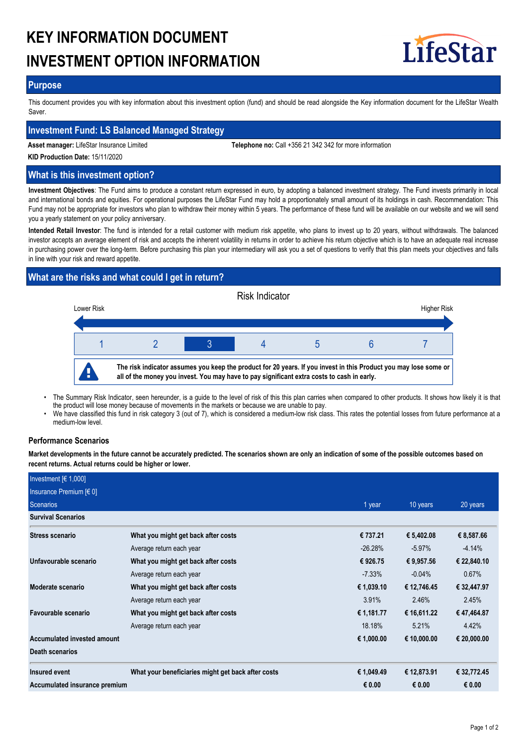# **KEY INFORMATION DOCUMENT INVESTMENT OPTION INFORMATION**



## **Purpose**

This document provides you with key information about this investment option (fund) and should be read alongside the Key information document for the LifeStar Wealth Saver.

## **Investment Fund: LS Balanced Managed Strategy**

**Asset manager:** LifeStar Insurance Limited **Telephone no:** Call +356 21 342 342 for more information

**KID Production Date:** 15/11/2020

## **What is this investment option?**

**Investment Objectives**: The Fund aims to produce a constant return expressed in euro, by adopting a balanced investment strategy. The Fund invests primarily in local and international bonds and equities. For operational purposes the LifeStar Fund may hold a proportionately small amount of its holdings in cash. Recommendation: This Fund may not be appropriate for investors who plan to withdraw their money within 5 years. The performance of these fund will be available on our website and we will send you a yearly statement on your policy anniversary.

**Intended Retail Investor**: The fund is intended for a retail customer with medium risk appetite, who plans to invest up to 20 years, without withdrawals. The balanced investor accepts an average element of risk and accepts the inherent volatility in returns in order to achieve his return objective which is to have an adequate real increase in purchasing power over the long-term. Before purchasing this plan your intermediary will ask you a set of questions to verify that this plan meets your objectives and falls in line with your risk and reward appetite.

# **What are the risks and what could I get in return?**



- The Summary Risk Indicator, seen hereunder, is a guide to the level of risk of this this plan carries when compared to other products. It shows how likely it is that the product will lose money because of movements in the markets or because we are unable to pay. •
- We have classified this fund in risk category 3 (out of 7), which is considered a medium-low risk class. This rates the potential losses from future performance at a medium-low level. •

## **Performance Scenarios**

**Market developments in the future cannot be accurately predicted. The scenarios shown are only an indication of some of the possible outcomes based on recent returns. Actual returns could be higher or lower.**

| Investment $[6 1,000]$        |                                                    |            |             |             |
|-------------------------------|----------------------------------------------------|------------|-------------|-------------|
| Insurance Premium [€ 0]       |                                                    |            |             |             |
| Scenarios                     |                                                    | 1 year     | 10 years    | 20 years    |
| <b>Survival Scenarios</b>     |                                                    |            |             |             |
| Stress scenario               | What you might get back after costs                | € 737.21   | € 5,402.08  | € 8,587.66  |
|                               | Average return each year                           | $-26.28%$  | $-5.97\%$   | $-4.14%$    |
| Unfavourable scenario         | What you might get back after costs                | € 926.75   | € 9,957.56  | € 22,840.10 |
|                               | Average return each year                           | $-7.33\%$  | $-0.04\%$   | 0.67%       |
| Moderate scenario             | What you might get back after costs                | € 1,039.10 | € 12,746.45 | € 32,447.97 |
|                               | Average return each year                           | 3.91%      | 2.46%       | 2.45%       |
| Favourable scenario           | What you might get back after costs                | € 1,181.77 | € 16,611.22 | €47,464.87  |
|                               | Average return each year                           | 18.18%     | 5.21%       | 4.42%       |
| Accumulated invested amount   |                                                    | € 1,000.00 | € 10,000.00 | € 20,000.00 |
| Death scenarios               |                                                    |            |             |             |
| Insured event                 | What your beneficiaries might get back after costs | € 1,049.49 | € 12,873.91 | € 32,772.45 |
| Accumulated insurance premium |                                                    | € 0.00     | € 0.00      | € 0.00      |